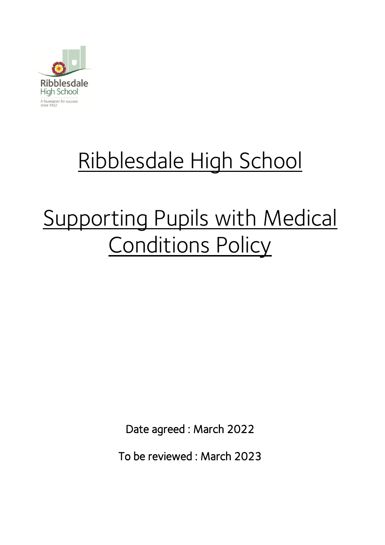

# Ribblesdale High School

# Supporting Pupils with Medical Conditions Policy

Date agreed : March 2022

To be reviewed : March 2023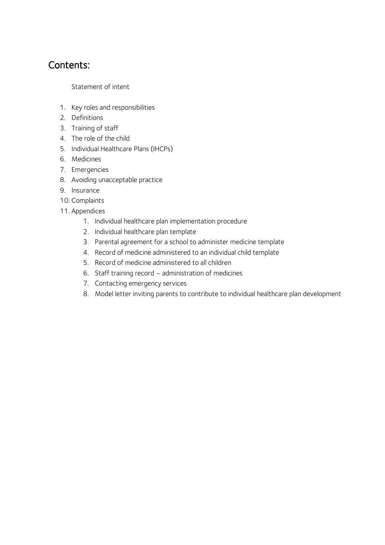## Contents:

Statement of intent

- 1. [Key roles and responsibilities](#page-2-0)
- 2. [Definitions](#page-4-0)
- 3. [Training of staff](#page-4-1)
- 4. [The role of the child](#page-4-2)
- 5. [Individual Healthcare Plans \(IHCPs\)](#page-4-3)
- 6. [Medicines](#page-5-0)
- 7. [Emergencies](#page-5-1)
- 8. [Avoiding unacceptable practice](#page-6-0)
- 9. [Insurance](#page-6-1)
- 10. [Complaints](#page-6-2)
- 11. Appendices
	- 1. Individual healthcare plan implementation procedure
	- 2. Individual healthcare plan template
	- 3. [Parental agreement for a school to administer medicine template](#page-10-0)
	- 4. [Record of medicine administered to an individual child template](#page-11-0)
	- 5. [Record of medicine administered](#page-14-0) to all children
	- 6. Staff training record [administration of medicines](#page-15-0)
	- 7. [Contacting emergency services](#page-16-0)
	- 8. [Model letter inviting parents to contribute to individual healthcare plan development](#page-17-0)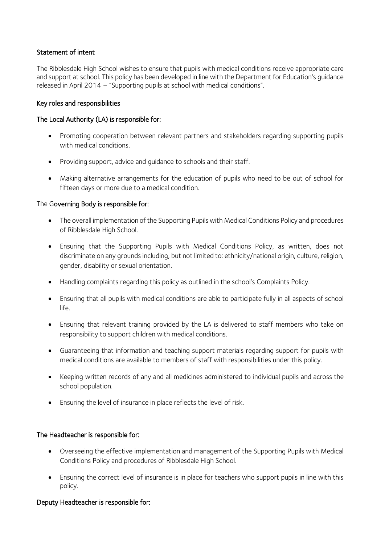#### Statement of intent

The Ribblesdale High School wishes to ensure that pupils with medical conditions receive appropriate care and support at school. This policy has been developed in line with the Department for Education's guidance released in April 2014 – "Supporting pupils at school with medical conditions".

#### <span id="page-2-0"></span>Key roles and responsibilities

#### The Local Authority (LA) is responsible for:

- Promoting cooperation between relevant partners and stakeholders regarding supporting pupils with medical conditions.
- Providing support, advice and guidance to schools and their staff.
- Making alternative arrangements for the education of pupils who need to be out of school for fifteen days or more due to a medical condition.

#### The Governing Body is responsible for:

- The overall implementation of the Supporting Pupils with Medical Conditions Policy and procedures of Ribblesdale High School.
- Ensuring that the Supporting Pupils with Medical Conditions Policy, as written, does not discriminate on any grounds including, but not limited to: ethnicity/national origin, culture, religion, gender, disability or sexual orientation.
- Handling complaints regarding this policy as outlined in the school's Complaints Policy.
- Ensuring that all pupils with medical conditions are able to participate fully in all aspects of school life.
- Ensuring that relevant training provided by the LA is delivered to staff members who take on responsibility to support children with medical conditions.
- Guaranteeing that information and teaching support materials regarding support for pupils with medical conditions are available to members of staff with responsibilities under this policy.
- Keeping written records of any and all medicines administered to [individual pupils](#page-11-0) and [across the](#page-14-0)  [school population.](#page-14-0)
- Ensuring the level of insurance in place reflects the level of risk.

#### The Headteacher is responsible for:

- Overseeing the effective implementation and management of the Supporting Pupils with Medical Conditions Policy and procedures of Ribblesdale High School.
- Ensuring the correct level of insurance is in place for teachers who support pupils in line with this policy.

#### Deputy Headteacher is responsible for: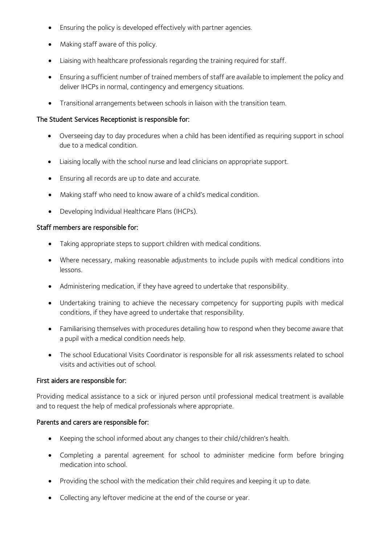- Ensuring the policy is developed effectively with partner agencies.
- Making staff aware of this policy.
- Liaising with healthcare professionals regarding the training required for staff.
- Ensuring a sufficient number of trained members of staff are available to implement the policy and deliver IHCPs in normal, contingency and emergency situations.
- Transitional arrangements between schools in liaison with the transition team.

#### The Student Services Receptionist is responsible for:

- Overseeing day to day procedures when a child has been identified as requiring support in school due to a medical condition.
- Liaising locally with the school nurse and lead clinicians on appropriate support.
- Ensuring all records are up to date and accurate.
- Making staff who need to know aware of a child's medical condition.
- Developing Individual Healthcare Plans (IHCPs).

#### Staff members are responsible for:

- Taking appropriate steps to support children with medical conditions.
- Where necessary, making reasonable adjustments to include pupils with medical conditions into lessons.
- Administering medication, if they have agreed to undertake that responsibility.
- Undertaking training to achieve the necessary competency for supporting pupils with medical conditions, if they have agreed to undertake that responsibility.
- Familiarising themselves with procedures detailing how to respond when they become aware that a pupil with a medical condition needs help.
- The school Educational Visits Coordinator is responsible for all risk assessments related to school visits and activities out of school.

#### First aiders are responsible for:

Providing medical assistance to a sick or injured person until professional medical treatment is available and to request the help of medical professionals where appropriate.

#### Parents and carers are responsible for:

- Keeping the school informed about any changes to their child/children's health.
- Completing a [parental agreement for school to administer medicine](#page-10-0) form before bringing medication into school.
- Providing the school with the medication their child requires and keeping it up to date.
- Collecting any leftover medicine at the end of the course or year.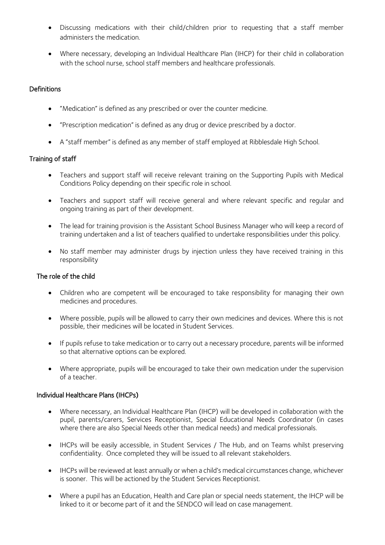- Discussing medications with their child/children prior to requesting that a staff member administers the medication.
- Where necessary, developing an Individual Healthcare Plan (IHCP) for their child in collaboration with the school nurse, school staff members and healthcare professionals.

#### <span id="page-4-0"></span>**Definitions**

- "Medication" is defined as any prescribed or over the counter medicine.
- "Prescription medication" is defined as any drug or device prescribed by a doctor.
- A "staff member" is defined as any member of staff employed at Ribblesdale High School.

#### <span id="page-4-1"></span>Training of staff

- Teachers and support staff will receive relevant training on the Supporting Pupils with Medical Conditions Policy depending on their specific role in school.
- Teachers and support staff will receive general and where relevant specific and regular and ongoing training as part of their development.
- The lead for training provision is the Assistant School Business Manager who will keep a record of training undertaken and a list of teachers qualified to undertake responsibilities under this policy.
- No staff member may administer drugs by injection unless they have received training in this responsibility

#### <span id="page-4-2"></span>The role of the child

- Children who are competent will be encouraged to take responsibility for managing their own medicines and procedures.
- Where possible, pupils will be allowed to carry their own medicines and devices. Where this is not possible, their medicines will be located in Student Services.
- If pupils refuse to take medication or to carry out a necessary procedure, parents will be informed so that alternative options can be explored.
- Where appropriate, pupils will be encouraged to take their own medication under the supervision of a teacher.

#### <span id="page-4-3"></span>Individual Healthcare Plans (IHCPs)

- Where necessary, an Individual Healthcare Plan (IHCP) will be developed in collaboration with the pupil, parents/carers, Services Receptionist, Special Educational Needs Coordinator (in cases where there are also Special Needs other than medical needs) and medical professionals.
- IHCPs will be easily accessible, in Student Services / The Hub, and on Teams whilst preserving confidentiality. Once completed they will be issued to all relevant stakeholders.
- IHCPs will be reviewed at least annually or when a child's medical circumstances change, whichever is sooner. This will be actioned by the Student Services Receptionist.
- Where a pupil has an Education, Health and Care plan or special needs statement, the IHCP will be linked to it or become part of it and the SENDCO will lead on case management.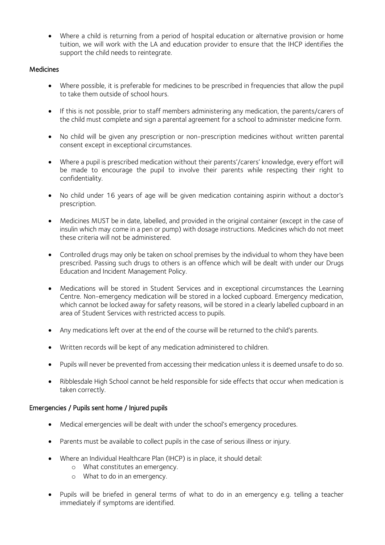• Where a child is returning from a period of hospital education or alternative provision or home tuition, we will work with the LA and education provider to ensure that the IHCP identifies the support the child needs to reintegrate.

#### <span id="page-5-0"></span>**Medicines**

- Where possible, it is preferable for medicines to be prescribed in frequencies that allow the pupil to take them outside of school hours.
- If this is not possible, prior to staff members administering any medication, the parents/carers of the child must complete and sign [a parental agreement for a school to administer medicine](#page-10-0) form.
- No child will be given any prescription or non-prescription medicines without written parental consent except in exceptional circumstances.
- Where a pupil is prescribed medication without their parents'/carers' knowledge, every effort will be made to encourage the pupil to involve their parents while respecting their right to confidentiality.
- No child under 16 years of age will be given medication containing aspirin without a doctor's prescription.
- Medicines MUST be in date, labelled, and provided in the original container (except in the case of insulin which may come in a pen or pump) with dosage instructions. Medicines which do not meet these criteria will not be administered.
- Controlled drugs may only be taken on school premises by the individual to whom they have been prescribed. Passing such drugs to others is an offence which will be dealt with under our Drugs Education and Incident Management Policy.
- Medications will be stored in Student Services and in exceptional circumstances the Learning Centre. Non-emergency medication will be stored in a locked cupboard. Emergency medication, which cannot be locked away for safety reasons, will be stored in a clearly labelled cupboard in an area of Student Services with restricted access to pupils.
- Any medications left over at the end of the course will be returned to the child's parents.
- Written records will be kept of any medication administered to children.
- Pupils will never be prevented from accessing their medication unless it is deemed unsafe to do so.
- Ribblesdale High School cannot be held responsible for side effects that occur when medication is taken correctly.

#### <span id="page-5-1"></span>Emergencies / Pupils sent home / Injured pupils

- Medical emergencies will be dealt with under the school's emergency procedures.
- Parents must be available to collect pupils in the case of serious illness or injury.
- Where an Individual Healthcare Plan (IHCP) is in place, it should detail:
	- o What constitutes an emergency.
	- o What to do in an emergency.
- Pupils will be briefed in general terms of what to do in an emergency e.g. telling a teacher immediately if symptoms are identified.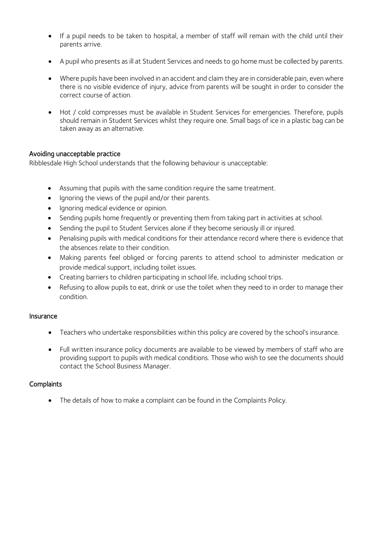- If a pupil needs to be taken to hospital, a member of staff will remain with the child until their parents arrive.
- A pupil who presents as ill at Student Services and needs to go home must be collected by parents.
- Where pupils have been involved in an accident and claim they are in considerable pain, even where there is no visible evidence of injury, advice from parents will be sought in order to consider the correct course of action.
- Hot / cold compresses must be available in Student Services for emergencies. Therefore, pupils should remain in Student Services whilst they require one. Small bags of ice in a plastic bag can be taken away as an alternative.

#### <span id="page-6-0"></span>Avoiding unacceptable practice

Ribblesdale High School understands that the following behaviour is unacceptable:

- Assuming that pupils with the same condition require the same treatment.
- Ignoring the views of the pupil and/or their parents.
- Ignoring medical evidence or opinion.
- Sending pupils home frequently or preventing them from taking part in activities at school.
- Sending the pupil to Student Services alone if they become seriously ill or injured.
- Penalising pupils with medical conditions for their attendance record where there is evidence that the absences relate to their condition.
- Making parents feel obliged or forcing parents to attend school to administer medication or provide medical support, including toilet issues.
- Creating barriers to children participating in school life, including school trips.
- Refusing to allow pupils to eat, drink or use the toilet when they need to in order to manage their condition.

#### <span id="page-6-1"></span>Insurance

- Teachers who undertake responsibilities within this policy are covered by the school's insurance.
- Full written insurance policy documents are available to be viewed by members of staff who are providing support to pupils with medical conditions. Those who wish to see the documents should contact the School Business Manager.

#### <span id="page-6-2"></span>**Complaints**

• The details of how to make a complaint can be found in the Complaints Policy.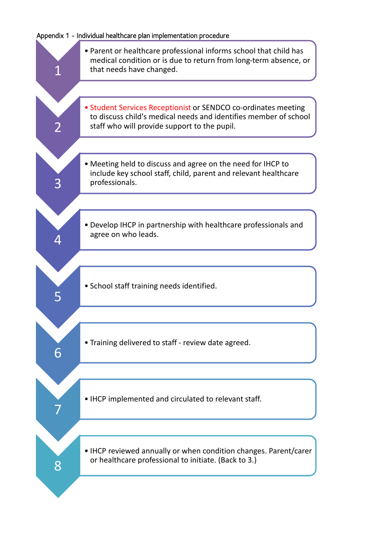#### Appendix 1 - Individual healthcare plan implementation procedure

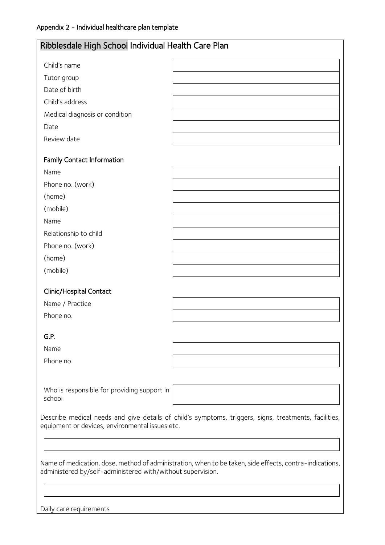| Ribblesdale High School Individual Health Care Plan         |                                                                                                         |
|-------------------------------------------------------------|---------------------------------------------------------------------------------------------------------|
| Child's name                                                |                                                                                                         |
| Tutor group                                                 |                                                                                                         |
| Date of birth                                               |                                                                                                         |
| Child's address                                             |                                                                                                         |
| Medical diagnosis or condition                              |                                                                                                         |
| Date                                                        |                                                                                                         |
| Review date                                                 |                                                                                                         |
| <b>Family Contact Information</b>                           |                                                                                                         |
| Name                                                        |                                                                                                         |
| Phone no. (work)                                            |                                                                                                         |
| (home)                                                      |                                                                                                         |
| (mobile)                                                    |                                                                                                         |
| Name                                                        |                                                                                                         |
| Relationship to child                                       |                                                                                                         |
| Phone no. (work)                                            |                                                                                                         |
| (home)                                                      |                                                                                                         |
| (mobile)                                                    |                                                                                                         |
| Clinic/Hospital Contact                                     |                                                                                                         |
| Name / Practice                                             |                                                                                                         |
| Phone no.                                                   |                                                                                                         |
| G.P.                                                        |                                                                                                         |
| Name                                                        |                                                                                                         |
| Phone no.                                                   |                                                                                                         |
|                                                             |                                                                                                         |
| Who is responsible for providing support in<br>school       |                                                                                                         |
| equipment or devices, environmental issues etc.             | Describe medical needs and give details of child's symptoms, triggers, signs, treatments, facilities,   |
|                                                             |                                                                                                         |
| administered by/self-administered with/without supervision. | Name of medication, dose, method of administration, when to be taken, side effects, contra-indications, |
|                                                             |                                                                                                         |
| Daily care requirements                                     |                                                                                                         |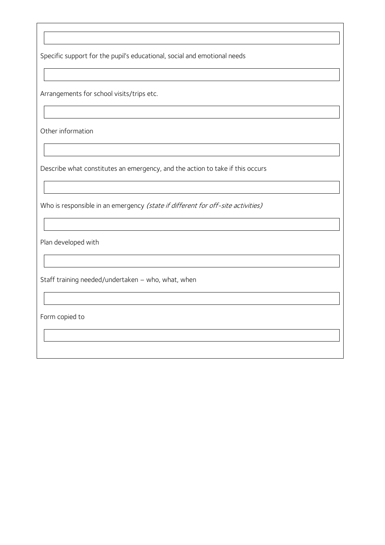Specific support for the pupil's educational, social and emotional needs

Arrangements for school visits/trips etc.

Other information

Describe what constitutes an emergency, and the action to take if this occurs

Who is responsible in an emergency (state if different for off-site activities)

Plan developed with

Staff training needed/undertaken – who, what, when

Form copied to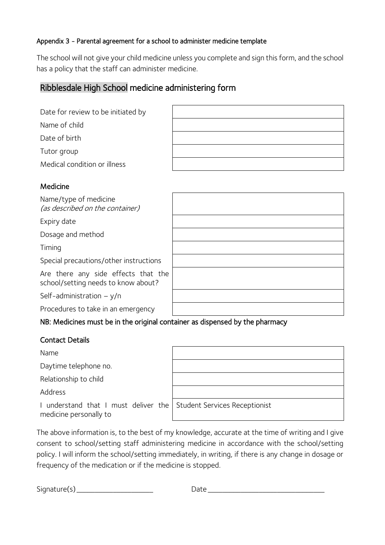### <span id="page-10-0"></span>Appendix 3 - Parental agreement for a school to administer medicine template

The school will not give your child medicine unless you complete and sign this form, and the school has a policy that the staff can administer medicine.

## Ribblesdale High School medicine administering form

|  | Date for review to be initiated by |  |
|--|------------------------------------|--|
|  |                                    |  |

Name of child

Date of birth

Tutor group

Medical condition or illness

### Medicine

Name/type of medicine (as described on the container)

Expiry date

Dosage and method

Timing

Special precautions/other instructions

Are there any side effects that the school/setting needs to know about?

Self-administration – y/n

Procedures to take in an emergency

## NB: Medicines must be in the original container as dispensed by the pharmacy

## Contact Details

Name

Daytime telephone no.

Relationship to child

Address

| I understand that I must deliver the |  |  |  |
|--------------------------------------|--|--|--|
| medicine personally to               |  |  |  |

e Student Services Receptionist

The above information is, to the best of my knowledge, accurate at the time of writing and I give consent to school/setting staff administering medicine in accordance with the school/setting policy. I will inform the school/setting immediately, in writing, if there is any change in dosage or frequency of the medication or if the medicine is stopped.

 $Signature(s)$  Date  $Datatree(s)$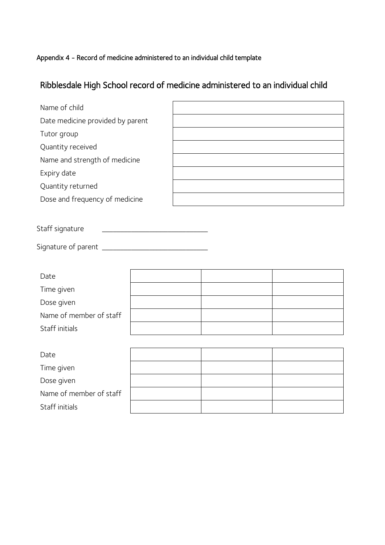#### <span id="page-11-0"></span>Appendix 4 - Record of medicine administered to an individual child template

## Ribblesdale High School record of medicine administered to an individual child

| Name of child                    |  |  |  |
|----------------------------------|--|--|--|
| Date medicine provided by parent |  |  |  |
| Tutor group                      |  |  |  |
| Quantity received                |  |  |  |
| Name and strength of medicine    |  |  |  |
| Expiry date                      |  |  |  |
| Quantity returned                |  |  |  |
| Dose and frequency of medicine   |  |  |  |
|                                  |  |  |  |
| Staff signature                  |  |  |  |
|                                  |  |  |  |
|                                  |  |  |  |
| Date                             |  |  |  |
| Time given                       |  |  |  |
| Dose given                       |  |  |  |
| Name of member of staff          |  |  |  |
| Staff initials                   |  |  |  |
|                                  |  |  |  |
| Date                             |  |  |  |
| Time given                       |  |  |  |
| Dose given                       |  |  |  |

Name of member of staff

Staff initials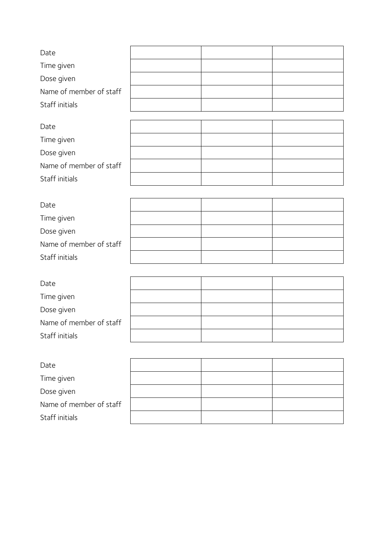| Date                    |  |  |
|-------------------------|--|--|
| Time given              |  |  |
| Dose given              |  |  |
| Name of member of staff |  |  |
| Staff initials          |  |  |
|                         |  |  |
| Date                    |  |  |
| Time given              |  |  |
| Dose given              |  |  |
| Name of member of staff |  |  |
| Staff initials          |  |  |
|                         |  |  |
| Date                    |  |  |
| Time given              |  |  |
| Dose given              |  |  |
| Name of member of staff |  |  |
| Staff initials          |  |  |
|                         |  |  |
| Date                    |  |  |
| Time given              |  |  |
| Dose given              |  |  |
| Name of member of staff |  |  |
| Staff initials          |  |  |
|                         |  |  |
| Date                    |  |  |
| Time given              |  |  |
| Dose given              |  |  |
| Name of member of staff |  |  |
| Staff initials          |  |  |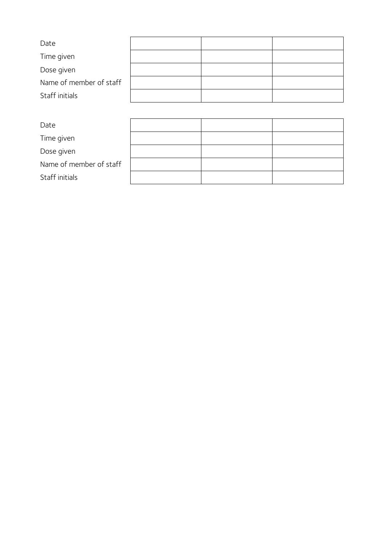| Date                    |  |  |
|-------------------------|--|--|
| Time given              |  |  |
| Dose given              |  |  |
| Name of member of staff |  |  |
| Staff initials          |  |  |
|                         |  |  |

| Date                    |  |  |
|-------------------------|--|--|
| Time given              |  |  |
| Dose given              |  |  |
| Name of member of staff |  |  |
| Staff initials          |  |  |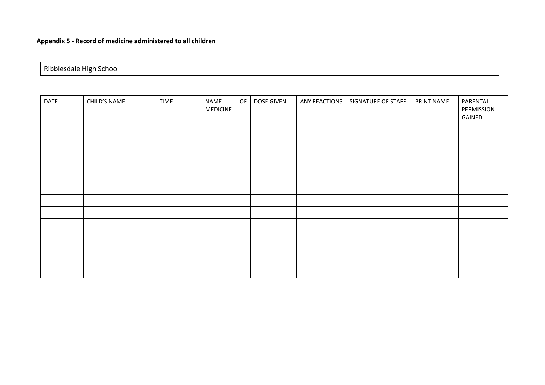| Ribblesdale High School |
|-------------------------|
|-------------------------|

<span id="page-14-0"></span>

| DATE | CHILD'S NAME | <b>TIME</b> | NAME<br><b>MEDICINE</b> | OF | DOSE GIVEN | ANY REACTIONS | SIGNATURE OF STAFF | PRINT NAME | PARENTAL<br>PERMISSION<br>GAINED |
|------|--------------|-------------|-------------------------|----|------------|---------------|--------------------|------------|----------------------------------|
|      |              |             |                         |    |            |               |                    |            |                                  |
|      |              |             |                         |    |            |               |                    |            |                                  |
|      |              |             |                         |    |            |               |                    |            |                                  |
|      |              |             |                         |    |            |               |                    |            |                                  |
|      |              |             |                         |    |            |               |                    |            |                                  |
|      |              |             |                         |    |            |               |                    |            |                                  |
|      |              |             |                         |    |            |               |                    |            |                                  |
|      |              |             |                         |    |            |               |                    |            |                                  |
|      |              |             |                         |    |            |               |                    |            |                                  |
|      |              |             |                         |    |            |               |                    |            |                                  |
|      |              |             |                         |    |            |               |                    |            |                                  |
|      |              |             |                         |    |            |               |                    |            |                                  |
|      |              |             |                         |    |            |               |                    |            |                                  |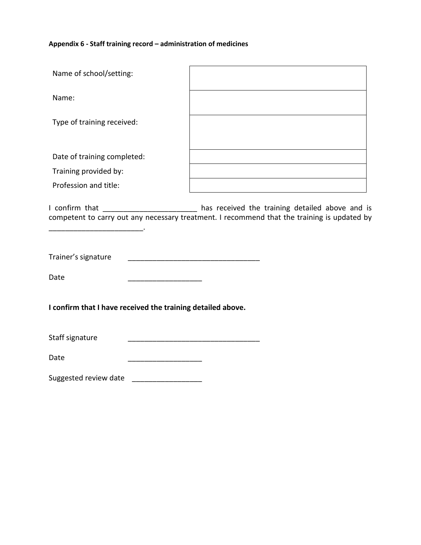#### **Appendix 6 - Staff training record – administration of medicines**

<span id="page-15-0"></span>

| Name of school/setting:     |  |
|-----------------------------|--|
| Name:                       |  |
| Type of training received:  |  |
| Date of training completed: |  |
| Training provided by:       |  |
| Profession and title:       |  |
|                             |  |

I confirm that \_\_\_\_\_\_\_\_\_\_\_\_\_\_\_\_\_\_\_\_\_\_\_ has received the training detailed above and is competent to carry out any necessary treatment. I recommend that the training is updated by

Trainer's signature \_\_\_\_\_\_\_\_\_\_\_\_\_\_\_\_\_\_\_\_\_\_\_\_\_\_\_\_\_\_\_\_

Date \_\_\_\_\_\_\_\_\_\_\_\_\_\_\_\_\_\_

 $\mathcal{L}_\text{max}$  and  $\mathcal{L}_\text{max}$  and  $\mathcal{L}_\text{max}$ 

**I confirm that I have received the training detailed above.**

Staff signature \_\_\_\_\_\_\_\_\_\_\_\_\_\_\_\_\_\_\_\_\_\_\_\_\_\_\_\_\_\_\_\_

Date \_\_\_\_\_\_\_\_\_\_\_\_\_\_\_\_\_\_

Suggested review date \_\_\_\_\_\_\_\_\_\_\_\_\_\_\_\_\_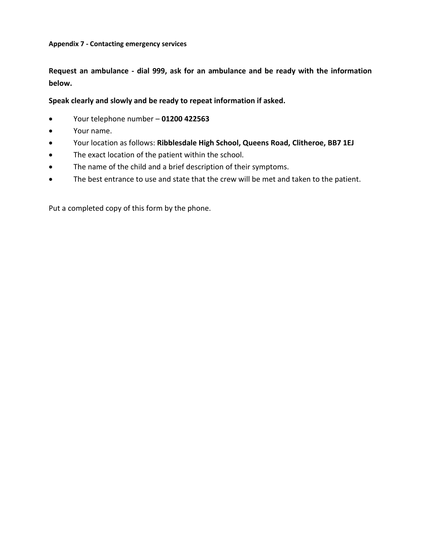<span id="page-16-0"></span>**Request an ambulance - dial 999, ask for an ambulance and be ready with the information below.**

**Speak clearly and slowly and be ready to repeat information if asked.**

- Your telephone number **01200 422563**
- Your name.
- Your location as follows: **Ribblesdale High School, Queens Road, Clitheroe, BB7 1EJ**
- The exact location of the patient within the school.
- The name of the child and a brief description of their symptoms.
- The best entrance to use and state that the crew will be met and taken to the patient.

Put a completed copy of this form by the phone.